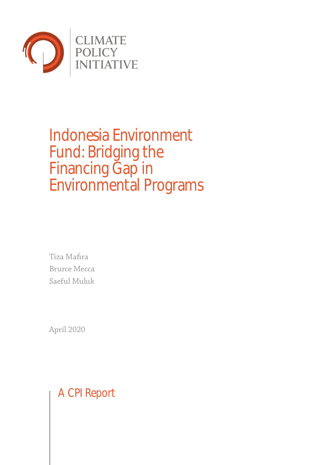

# Indonesia Environment Fund: Bridging the Financing Gap in Environmental Programs

Tiza Mafira Brurce Mecca Saeful Muluk

April 2020

A CPI Report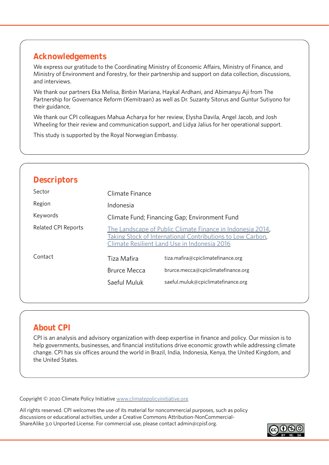# **Acknowledgements**

We express our gratitude to the Coordinating Ministry of Economic Affairs, Ministry of Finance, and Ministry of Environment and Forestry, for their partnership and support on data collection, discussions, and interviews.

We thank our partners Eka Melisa, Binbin Mariana, Haykal Ardhani, and Abimanyu Aji from The Partnership for Governance Reform (Kemitraan) as well as Dr. Suzanty Sitorus and Guntur Sutiyono for their guidance,

We thank our CPI colleagues Mahua Acharya for her review, Elysha Davila, Angel Jacob, and Josh Wheeling for their review and communication support, and Lidya Jalius for her operational support.

This study is supported by the Royal Norwegian Embassy.

# **Descriptors**

| Sector                     | Climate Finance                                                                                                                                                          |                                    |
|----------------------------|--------------------------------------------------------------------------------------------------------------------------------------------------------------------------|------------------------------------|
| Region                     | Indonesia                                                                                                                                                                |                                    |
| Keywords                   | Climate Fund; Financing Gap; Environment Fund                                                                                                                            |                                    |
| <b>Related CPI Reports</b> | The Landscape of Public Climate Finance in Indonesia 2014,<br>Taking Stock of International Contributions to Low Carbon,<br>Climate Resilient Land Use in Indonesia 2016 |                                    |
| Contact                    | Tiza Mafira                                                                                                                                                              | tiza.mafira@cpiclimatefinance.org  |
|                            | <b>Brurce Mecca</b>                                                                                                                                                      | brurce.mecca@cpiclimatefinance.org |
|                            | Saeful Muluk                                                                                                                                                             | saeful.muluk@cpiclimatefinance.org |
|                            |                                                                                                                                                                          |                                    |

# **About CPI**

CPI is an analysis and advisory organization with deep expertise in finance and policy. Our mission is to help governments, businesses, and financial institutions drive economic growth while addressing climate change. CPI has six offices around the world in Brazil, India, Indonesia, Kenya, the United Kingdom, and the United States.

Copyright © 2020 Climate Policy Initiative [www.climatepolicyinitiative.org](http://www.climatepolicyinitiative.org )

All rights reserved. CPI welcomes the use of its material for noncommercial purposes, such as policy discussions or educational activities, under a Creative Commons Attribution-NonCommercial-ShareAlike 3.0 Unported License. For commercial use, please contact admin@cpisf.org.

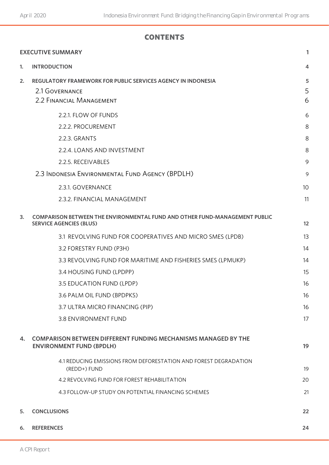### **contents**

|    | <b>EXECUTIVE SUMMARY</b>                                                                                          | 1               |
|----|-------------------------------------------------------------------------------------------------------------------|-----------------|
| 1. | <b>INTRODUCTION</b>                                                                                               | $\overline{4}$  |
| 2. | <b>REGULATORY FRAMEWORK FOR PUBLIC SERVICES AGENCY IN INDONESIA</b><br>2.1 GOVERNANCE<br>2.2 FINANCIAL MANAGEMENT | 5<br>5<br>6     |
|    | 2.2.1. FLOW OF FUNDS                                                                                              | 6               |
|    | 2.2.2. PROCUREMENT                                                                                                | 8               |
|    | 2.2.3. GRANTS                                                                                                     | 8               |
|    | 2.2.4. LOANS AND INVESTMENT                                                                                       | 8               |
|    | 2.2.5. RECEIVABLES                                                                                                | 9               |
|    | 2.3 INDONESIA ENVIRONMENTAL FUND AGENCY (BPDLH)                                                                   | 9               |
|    | 2.3.1. GOVERNANCE                                                                                                 | 10 <sup>°</sup> |
|    | 2.3.2. FINANCIAL MANAGEMENT                                                                                       | 11              |
| 3. | COMPARISON BETWEEN THE ENVIRONMENTAL FUND AND OTHER FUND-MANAGEMENT PUBLIC<br><b>SERVICE AGENCIES (BLUS)</b>      | 12              |
|    | 3.1 REVOLVING FUND FOR COOPERATIVES AND MICRO SMES (LPDB)                                                         | 13              |
|    | 3.2 FORESTRY FUND (P3H)                                                                                           | 14              |
|    | 3.3 REVOLVING FUND FOR MARITIME AND FISHERIES SMES (LPMUKP)                                                       | 14              |
|    | 3.4 HOUSING FUND (LPDPP)                                                                                          | 15              |
|    | 3.5 EDUCATION FUND (LPDP)                                                                                         | 16              |
|    | 3.6 PALM OIL FUND (BPDPKS)                                                                                        | 16              |
|    | 3.7 ULTRA MICRO FINANCING (PIP)                                                                                   | 16              |
|    | 3.8 ENVIRONMENT FUND                                                                                              | 17              |
| 4. | <b>COMPARISON BETWEEN DIFFERENT FUNDING MECHANISMS MANAGED BY THE</b><br><b>ENVIRONMENT FUND (BPDLH)</b>          | 19              |
|    | 4.1 REDUCING EMISSIONS FROM DEFORESTATION AND FOREST DEGRADATION<br>(REDD+) FUND                                  | 19              |
|    | 4.2 REVOLVING FUND FOR FOREST REHABILITATION                                                                      | 20              |
|    | 4.3 FOLLOW-UP STUDY ON POTENTIAL FINANCING SCHEMES                                                                | 21              |
| 5. | <b>CONCLUSIONS</b>                                                                                                | 22              |
| 6. | <b>REFERENCES</b><br>24                                                                                           |                 |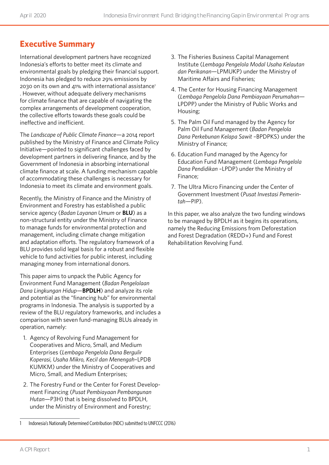# **Executive Summary**

International development partners have recognized Indonesia's efforts to better meet its climate and environmental goals by pledging their financial support. Indonesia has pledged to reduce 29% emissions by 2030 on its own and  $41\%$  with international assistance<sup>1</sup> . However, without adequate delivery mechanisms for climate finance that are capable of navigating the complex arrangements of development cooperation, the collective efforts towards these goals could be ineffective and inefficient.

The *Landscape of Public Climate Finance*—a 2014 report published by the Ministry of Finance and Climate Policy Initiative—pointed to significant challenges faced by development partners in delivering finance, and by the Government of Indonesia in absorbing international climate finance at scale. A funding mechanism capable of accommodating these challenges is necessary for Indonesia to meet its climate and environment goals.

Recently, the Ministry of Finance and the Ministry of Environment and Forestry has established a public service agency (*Badan Layanan Umum* or **BLU**) as a non-structural entity under the Ministry of Finance to manage funds for environmental protection and management, including climate change mitigation and adaptation efforts. The regulatory framework of a BLU provides solid legal basis for a robust and flexible vehicle to fund activities for public interest, including managing money from international donors.

This paper aims to unpack the Public Agency for Environment Fund Management (*Badan Pengelolaan Dana Lingkungan Hidup*—**BPDLH**) and analyze its role and potential as the "financing hub" for environmental programs in Indonesia. The analysis is supported by a review of the BLU regulatory frameworks, and includes a comparison with seven fund-managing BLUs already in operation, namely:

- 1. Agency of Revolving Fund Management for Cooperatives and Micro, Small, and Medium Enterprises (*Lembaga Pengelola Dana Bergulir Koperasi, Usaha Mikro, Kecil dan Menengah*–LPDB KUMKM) under the Ministry of Cooperatives and Micro, Small, and Medium Enterprises;
- 2. The Forestry Fund or the Center for Forest Development Financing (*Pusat Pembiayaan Pembangunan Hutan*—P3H) that is being dissolved to BPDLH, under the Ministry of Environment and Forestry;
- 3. The Fisheries Business Capital Management Institute (*Lembaga Pengelola Modal Usaha Kelautan dan Perikanan*—LPMUKP) under the Ministry of Maritime Affairs and Fisheries;
- 4. The Center for Housing Financing Management (*Lembaga Pengelola Dana Pembiayaan Perumahan*— LPDPP) under the Ministry of Public Works and Housing;
- 5. The Palm Oil Fund managed by the Agency for Palm Oil Fund Management (*Badan Pengelola Dana Perkebunan Kelapa Sawit* –BPDPKS) under the Ministry of Finance;
- 6. Education Fund managed by the Agency for Education Fund Management (*Lembaga Pengelola Dana Pendidikan* –LPDP) under the Ministry of Finance;
- 7. The Ultra Micro Financing under the Center of Government Investment (*Pusat Investasi Pemerintah*—PIP).

In this paper, we also analyze the two funding windows to be managed by BPDLH as it begins its operations, namely the Reducing Emissions from Deforestation and Forest Degradation (REDD+) Fund and Forest Rehabilitation Revolving Fund.

<sup>1</sup> Indonesia's Nationally Determined Contribution (NDC) submitted to UNFCCC (2016)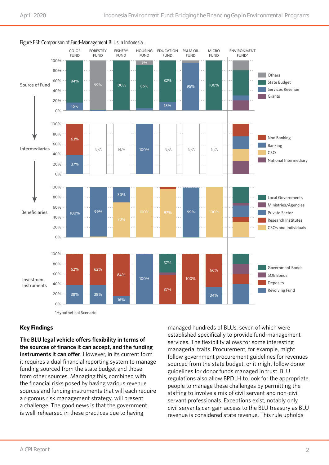

Figure ES1: Comparison of Fund-Management BLUs in Indonesia .

\*Hypothetical Scenario

#### **Key Findings**

**The BLU legal vehicle offers flexibility in terms of the sources of finance it can accept, and the funding instruments it can offer**. However, in its current form it requires a dual financial reporting system to manage funding sourced from the state budget and those from other sources. Managing this, combined with the financial risks posed by having various revenue sources and funding instruments that will each require a rigorous risk management strategy, will present a challenge. The good news is that the government is well-rehearsed in these practices due to having

managed hundreds of BLUs, seven of which were established specifically to provide fund-management services. The flexibility allows for some interesting managerial traits. Procurement, for example, might follow government procurement guidelines for revenues sourced from the state budget, or it might follow donor guidelines for donor funds managed in trust. BLU regulations also allow BPDLH to look for the appropriate people to manage these challenges by permitting the staffing to involve a mix of civil servant and non-civil servant professionals. Exceptions exist, notably only civil servants can gain access to the BLU treasury as BLU revenue is considered state revenue. This rule upholds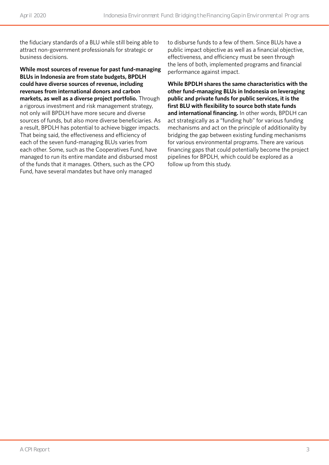the fiduciary standards of a BLU while still being able to attract non-government professionals for strategic or business decisions.

**While most sources of revenue for past fund-managing BLUs in Indonesia are from state budgets, BPDLH could have diverse sources of revenue, including revenues from international donors and carbon markets, as well as a diverse project portfolio.** Through a rigorous investment and risk management strategy, not only will BPDLH have more secure and diverse sources of funds, but also more diverse beneficiaries. As a result, BPDLH has potential to achieve bigger impacts. That being said, the effectiveness and efficiency of each of the seven fund-managing BLUs varies from each other. Some, such as the Cooperatives Fund, have managed to run its entire mandate and disbursed most of the funds that it manages. Others, such as the CPO Fund, have several mandates but have only managed

to disburse funds to a few of them. Since BLUs have a public impact objective as well as a financial objective, effectiveness, and efficiency must be seen through the lens of both, implemented programs and financial performance against impact.

**While BPDLH shares the same characteristics with the other fund-managing BLUs in Indonesia on leveraging public and private funds for public services, it is the first BLU with flexibility to source both state funds and international financing.** In other words, BPDLH can act strategically as a "funding hub" for various funding mechanisms and act on the principle of additionality by bridging the gap between existing funding mechanisms for various environmental programs. There are various financing gaps that could potentially become the project pipelines for BPDLH, which could be explored as a follow up from this study.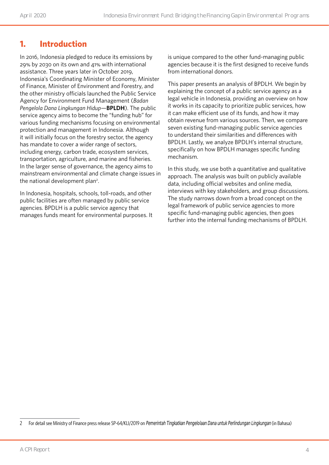# **1. Introduction**

In 2016, Indonesia pledged to reduce its emissions by 29% by 2030 on its own and 41% with international assistance. Three years later in October 2019, Indonesia's Coordinating Minister of Economy, Minister of Finance, Minister of Environment and Forestry, and the other ministry officials launched the Public Service Agency for Environment Fund Management (*Badan Pengelola Dana Lingkungan Hidup*—**BPLDH**). The public service agency aims to become the "funding hub" for various funding mechanisms focusing on environmental protection and management in Indonesia. Although it will initially focus on the forestry sector, the agency has mandate to cover a wider range of sectors, including energy, carbon trade, ecosystem services, transportation, agriculture, and marine and fisheries. In the larger sense of governance, the agency aims to mainstream environmental and climate change issues in the national development plan<sup>2</sup>.

In Indonesia, hospitals, schools, toll-roads, and other public facilities are often managed by public service agencies. BPDLH is a public service agency that manages funds meant for environmental purposes. It is unique compared to the other fund-managing public agencies because it is the first designed to receive funds from international donors.

This paper presents an analysis of BPDLH. We begin by explaining the concept of a public service agency as a legal vehicle in Indonesia, providing an overview on how it works in its capacity to prioritize public services, how it can make efficient use of its funds, and how it may obtain revenue from various sources. Then, we compare seven existing fund-managing public service agencies to understand their similarities and differences with BPDLH. Lastly, we analyze BPDLH's internal structure, specifically on how BPDLH manages specific funding mechanism.

In this study, we use both a quantitative and qualitative approach. The analysis was built on publicly available data, including official websites and online media, interviews with key stakeholders, and group discussions. The study narrows down from a broad concept on the legal framework of public service agencies to more specific fund-managing public agencies, then goes further into the internal funding mechanisms of BPDLH.

<sup>2</sup> For detail see Ministry of Finance press release SP-64/KLI/2019 on Pemerintah Tingkatkan Pengelolaan Dana untuk Perlindungan Lingkungan (in Bahasa)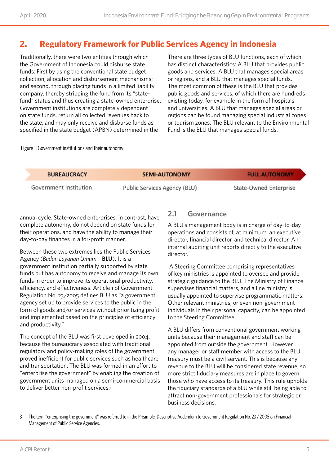# **2. Regulatory Framework for Public Services Agency in Indonesia**

Traditionally, there were two entities through which the Government of Indonesia could disburse state funds: First by using the conventional state budget collection, allocation and disbursement mechanisms; and second, through placing funds in a limited liability company, thereby stripping the fund from its "statefund" status and thus creating a state-owned enterprise. Government institutions are completely dependent on state funds, return all collected revenues back to the state, and may only receive and disburse funds as specified in the state budget (APBN) determined in the

There are three types of BLU functions, each of which has distinct characteristics: A BLU that provides public goods and services, A BLU that manages special areas or regions, and a BLU that manages special funds. The most common of these is the BLU that provides public goods and services, of which there are hundreds existing today, for example in the form of hospitals and universities. A BLU that manages special areas or regions can be found managing special industrial zones or tourism zones. The BLU relevant to the Environmental Fund is the BLU that manages special funds.

#### Figure 1: Government institutions and their autonomy

| <b>BUREAUCRACY</b>     | <b>SEMI-AUTONOMY</b>                | <b>FULL AUTONOMY</b>          |
|------------------------|-------------------------------------|-------------------------------|
| Government Institution | <b>Public Services Agency (BLU)</b> | <b>State-Owned Enterprise</b> |

annual cycle. State-owned enterprises, in contrast, have complete autonomy, do not depend on state funds for their operations, and have the ability to manage their day-to-day finances in a for-profit manner.

Between these two extremes lies the Public Services Agency (*Badan Layanan Umum* – **BLU**). It is a government institution partially supported by state funds but has autonomy to receive and manage its own funds in order to improve its operational productivity, efficiency, and effectiveness. Article 1 of Government Regulation No. 23/2005 defines BLU as "a government agency set up to provide services to the public in the form of goods and/or services without prioritizing profit and implemented based on the principles of efficiency and productivity."

The concept of the BLU was first developed in 2004, because the bureaucracy associated with traditional regulatory and policy-making roles of the government proved inefficient for public services such as healthcare and transportation. The BLU was formed in an effort to "enterprise the government" by enabling the creation of government units managed on a semi-commercial basis to deliver better non-profit services.3

#### **2.1 Governance**

A BLU's management body is in charge of day-to-day operations and consists of, at minimum, an executive director, financial director, and technical director. An internal auditing unit reports directly to the executive director.

 A Steering Committee comprising representatives of key ministries is appointed to oversee and provide strategic guidance to the BLU. The Ministry of Finance supervises financial matters, and a line ministry is usually appointed to supervise programmatic matters. Other relevant ministries, or even non-government individuals in their personal capacity, can be appointed to the Steering Committee.

A BLU differs from conventional government working units because their management and staff can be appointed from outside the government. However, any manager or staff member with access to the BLU treasury must be a civil servant. This is because any revenue to the BLU will be considered state revenue, so more strict fiduciary measures are in place to govern those who have access to its treasury. This rule upholds the fiduciary standards of a BLU while still being able to attract non-government professionals for strategic or business decisions.

<sup>3</sup> The term "enterprising the government" was referred to in the Preamble, Descriptive Addendum to Government Regulation No. 23 / 2005 on Financial Management of Public Service Agencies.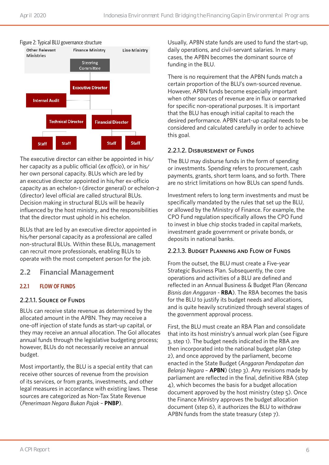

The executive director can either be appointed in his/ her capacity as a public official (*ex officio*), or in his/ her own personal capacity. BLUs which are led by an executive director appointed in his/her ex-officio capacity as an echelon-1 (director general) or echelon-2 (director) level official are called structural BLUs. Decision making in structural BLUs will be heavily influenced by the host ministry, and the responsibilities that the director must uphold in his echelon.

BLUs that are led by an executive director appointed in his/her personal capacity as a professional are called non-structural BLUs. Within these BLUs, management can recruit more professionals, enabling BLUs to operate with the most competent person for the job.

#### **2.2 Financial Management**

#### **2.2.1 FLOW OF FUNDS**

#### 2.2.1.1. Source of Funds

BLUs can receive state revenue as determined by the allocated amount in the APBN. They may receive a one-off injection of state funds as start-up capital, or they may receive an annual allocation. The GoI allocates annual funds through the legislative budgeting process; however, BLUs do not necessarily receive an annual budget.

Most importantly, the BLU is a special entity that can receive other sources of revenue from the provision of its services, or from grants, investments, and other legal measures in accordance with existing laws. These sources are categorized as Non-Tax State Revenue (*Penerimaan Negara Bukan Pajak* – **PNBP**).

Usually, APBN state funds are used to fund the start-up, daily operations, and civil-servant salaries. In many cases, the APBN becomes the dominant source of funding in the BLU.

There is no requirement that the APBN funds match a certain proportion of the BLU's own-sourced revenue. However, APBN funds become especially important when other sources of revenue are in flux or earmarked for specific non-operational purposes. It is important that the BLU has enough initial capital to reach the desired performance. APBN start-up capital needs to be considered and calculated carefully in order to achieve this goal.

#### 2.2.1.2. Disbursement of Funds

The BLU may disburse funds in the form of spending or investments. Spending refers to procurement, cash payments, grants, short term loans, and so forth. There are no strict limitations on how BLUs can spend funds.

Investment refers to long term investments and must be specifically mandated by the rules that set up the BLU, or allowed by the Ministry of Finance. For example, the CPO Fund regulation specifically allows the CPO Fund to invest in blue chip stocks traded in capital markets, investment grade government or private bonds, or deposits in national banks.

#### 2.2.1.3. Budget Planning and Flow of Funds

From the outset, the BLU must create a Five-year Strategic Business Plan. Subsequently, the core operations and activities of a BLU are defined and reflected in an Annual Business & Budget Plan (*Rencana Bisnis dan Anggaran* - **RBA**). The RBA becomes the basis for the BLU to justify its budget needs and allocations, and is quite heavily scrutinized through several stages of the government approval process.

First, the BLU must create an RBA Plan and consolidate that into its host ministry's annual work plan (see Figure 3, step 1). The budget needs indicated in the RBA are then incorporated into the national budget plan (step 2), and once approved by the parliament, become enacted in the State Budget (*Anggaran Pendapatan dan Belanja Negara* – **APBN**) (step 3). Any revisions made by parliament are reflected in the final, definitive RBA (step 4), which becomes the basis for a budget allocation document approved by the host ministry (step 5). Once the Finance Ministry approves the budget allocation document (step 6), it authorizes the BLU to withdraw APBN funds from the state treasury (step 7).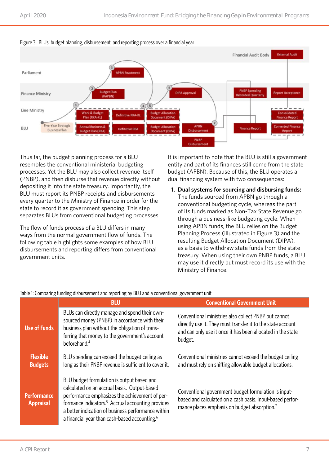

#### Figure 3: BLUs' budget planning, disbursement, and reporting process over a financial year

Thus far, the budget planning process for a BLU resembles the conventional ministerial budgeting processes. Yet the BLU may also collect revenue itself (PNBP), and then disburse that revenue directly without depositing it into the state treasury. Importantly, the BLU must report its PNBP receipts and disbursements every quarter to the Ministry of Finance in order for the state to record it as government spending. This step separates BLUs from conventional budgeting processes.

The flow of funds process of a BLU differs in many ways from the normal government flow of funds. The following table highlights some examples of how BLU disbursements and reporting differs from conventional government units.

It is important to note that the BLU is still a government entity and part of its finances still come from the state budget (APBN). Because of this, the BLU operates a dual financing system with two consequences:

#### **1. Dual systems for sourcing and disbursing funds:**

The funds sourced from APBN go through a conventional budgeting cycle, whereas the part of its funds marked as Non-Tax State Revenue go through a business-like budgeting cycle. When using APBN funds, the BLU relies on the Budget Planning Process (illustrated in Figure 3) and the resulting Budget Allocation Document (DIPA), as a basis to withdraw state funds from the state treasury. When using their own PNBP funds, a BLU may use it directly but must record its use with the Ministry of Finance.

|                                        | <b>BLU</b>                                                                                                                                                                                                                                                                                                                       | <b>Conventional Government Unit</b>                                                                                                                                                           |
|----------------------------------------|----------------------------------------------------------------------------------------------------------------------------------------------------------------------------------------------------------------------------------------------------------------------------------------------------------------------------------|-----------------------------------------------------------------------------------------------------------------------------------------------------------------------------------------------|
| <b>Use of Funds</b>                    | BLUs can directly manage and spend their own-<br>sourced money (PNBP) in accordance with their<br>business plan without the obligation of trans-<br>ferring that money to the government's account<br>beforehand. <sup>4</sup>                                                                                                   | Conventional ministries also collect PNBP but cannot<br>directly use it. They must transfer it to the state account<br>and can only use it once it has been allocated in the state<br>budget. |
| <b>Flexible</b><br><b>Budgets</b>      | BLU spending can exceed the budget ceiling as<br>long as their PNBP revenue is sufficient to cover it.                                                                                                                                                                                                                           | Conventional ministries cannot exceed the budget ceiling<br>and must rely on shifting allowable budget allocations.                                                                           |
| <b>Performance</b><br><b>Appraisal</b> | BLU budget formulation is output based and<br>calculated on an accrual basis. Output-based<br>performance emphasizes the achievement of per-<br>formance indicators. <sup>5</sup> Accrual accounting provides<br>a better indication of business performance within<br>a financial year than cash-based accounting. <sup>6</sup> | Conventional government budget formulation is input-<br>based and calculated on a cash basis. Input-based perfor-<br>mance places emphasis on budget absorption. <sup>7</sup>                 |

#### Table 1: Comparing funding disbursement and reporting by BLU and a conventional government unit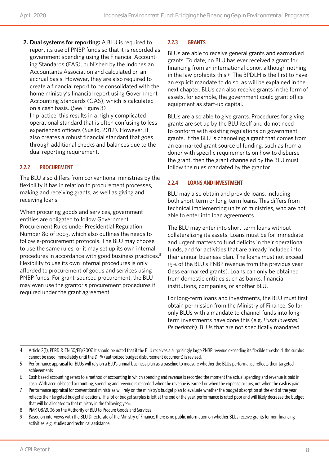**2. Dual systems for reporting:** A BLU is required to report its use of PNBP funds so that it is recorded as government spending using the Financial Accounting Standards (FAS), published by the Indonesian Accountants Association and calculated on an accrual basis. However, they are also required to create a financial report to be consolidated with the home ministry's financial report using Government Accounting Standards (GAS), which is calculated on a cash basis. (See Figure 3) In practice, this results in a highly complicated operational standard that is often confusing to less experienced officers (Susilo, 2012). However, it also creates a robust financial standard that goes through additional checks and balances due to the dual reporting requirement.

#### **2.2.2 PROCUREMENT**

The BLU also differs from conventional ministries by the flexibility it has in relation to procurement processes, making and receiving grants, as well as giving and receiving loans.

When procuring goods and services, government entities are obligated to follow Government Procurement Rules under Presidential Regulation Number 80 of 2003, which also outlines the needs to follow e-procurement protocols. The BLU may choose to use the same rules, or it may set up its own internal procedures in accordance with good business practices.8 Flexibility to use its own internal procedures is only afforded to procurement of goods and services using PNBP funds. For grant-sourced procurement, the BLU may even use the grantor's procurement procedures if required under the grant agreement.

#### **2.2.3 GRANTS**

BLUs are able to receive general grants and earmarked grants. To date, no BLU has ever received a grant for financing from an international donor, although nothing in the law prohibits this.<sup>9</sup> The BPDLH is the first to have an explicit mandate to do so, as will be explained in the next chapter. BLUs can also receive grants in the form of assets, for example, the government could grant office equipment as start-up capital.

BLUs are also able to give grants. Procedures for giving grants are set up by the BLU itself and do not need to conform with existing regulations on government grants. If the BLU is channeling a grant that comes from an earmarked grant source of funding, such as from a donor with specific requirements on how to disburse the grant, then the grant channeled by the BLU must follow the rules mandated by the grantor.

#### **2.2.4 LOANS AND INVESTMENT**

BLU may also obtain and provide loans, including both short-term or long-term loans. This differs from technical implementing units of ministries, who are not able to enter into loan agreements.

The BLU may enter into short-term loans without collateralizing its assets. Loans must be for immediate and urgent matters to fund deficits in their operational funds, and for activities that are already included into their annual business plan. The loans must not exceed 15% of the BLU's PNBP revenue from the previous year (less earmarked grants). Loans can only be obtained from domestic entities such as banks, financial institutions, companies, or another BLU.

For long-term loans and investments, the BLU must first obtain permission from the Ministry of Finance. So far only BLUs with a mandate to channel funds into longterm investments have done this (e.g. *Pusat Investasi Pemerintah*). BLUs that are not specifically mandated

8 PMK 08/2006 on the Authority of BLU to Procure Goods and Services

<sup>4</sup> Article 2(1), PERDIRJEN 50/PB/2007. It should be noted that if the BLU receives a surprisingly large PNBP revenue exceeding its flexible threshold, the surplus cannot be used immediately until the DIPA (authorized budget disbursement document) is revised.

<sup>5</sup> Performance appraisal for BLUs will rely on a BLU's annual business plan as a baseline to measure whether the BLUs performance reflects their targeted achievements

<sup>6</sup> Cash based accounting refers to a method of accounting in which spending and revenue is recorded the moment the actual spending and revenue is paid in cash. With accrual-based accounting, spending and revenue is recorded when the revenue is earned or when the expense occurs, not when the cash is paid.

<sup>7</sup> Performance appraisal for conventional ministries will rely on the ministry's budget plan to evaluate whether the budget absorption at the end of the year reflects their targeted budget allocations. If a lot of budget surplus is left at the end of the year, performance is rated poor and will likely decrease the budget that will be allocated to that ministry in the following year.

<sup>9</sup> Based on interviews with the BLU Directorate of the Ministry of Finance, there is no public information on whether BLUs receive grants for non-financing activities, e.g. studies and technical assistance.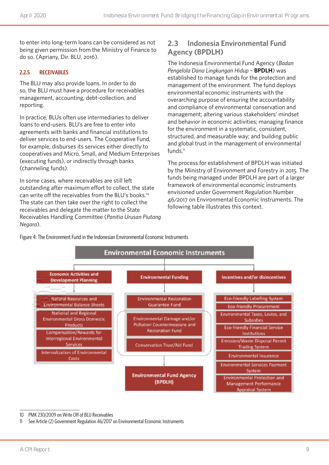to enter into long-term loans can be considered as not being given permission from the Ministry of Finance to do so. (Apriany, Dir. BLU, 2016).

#### **2.2.5 RECEIVABLES**

The BLU may also provide loans. In order to do so, the BLU must have a procedure for receivables management, accounting, debt-collection, and reporting.

In practice, BLUs often use intermediaries to deliver loans to end-users. BLU's are free to enter into agreements with banks and financial institutions to deliver services to end-users. The Cooperative Fund, for example, disburses its services either directly to cooperatives and Micro, Small, and Medium Enterprises (executing funds), or indirectly through banks (channeling funds).

In some cases, where receivables are still left outstanding after maximum effort to collect, the state can write off the receivables from the BLU's books.10 The state can then take over the right to collect the receivables and delegate the matter to the State Receivables Handling Committee (*Panitia Urusan Piutang Negara*).

### **2.3 Indonesia Environmental Fund Agency (BPDLH)**

The Indonesia Environmental Fund Agency (*Badan Pengelola Dana Lingkungan Hidup* – **BPDLH**) was established to manage funds for the protection and management of the environment. The fund deploys environmental economic instruments with the overarching purpose of ensuring the accountability and compliance of environmental conservation and management; altering various stakeholders' mindset and behavior in economic activities; managing finance for the environment in a systematic, consistent, structured, and measurable way; and building public and global trust in the management of environmental funds. $11$ 

The process for establishment of BPDLH was initiated by the Ministry of Environment and Forestry in 2015. The funds being managed under BPDLH are part of a larger framework of environmental economic instruments envisioned under Government Regulation Number 46/2017 on Environmental Economic Instruments. The following table illustrates this context.

Figure 4: The Environment Fund in the Indonesian Environmental Economic Instruments



10 PMK 230/2009 on Write Off of BLU Receivables

11 See Article (2) Government Regulation 46/2017 on Environmental Economic Instruments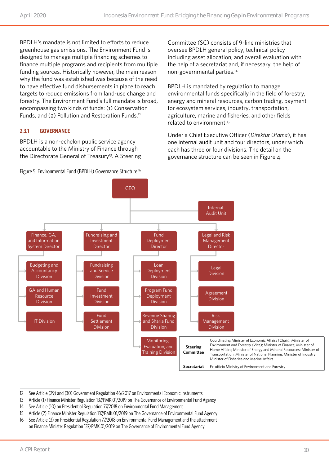BPDLH's mandate is not limited to efforts to reduce greenhouse gas emissions. The Environment Fund is designed to manage multiple financing schemes to finance multiple programs and recipients from multiple funding sources. Historically however, the main reason why the fund was established was because of the need to have effective fund disbursements in place to reach targets to reduce emissions from land-use change and forestry. The Environment Fund's full mandate is broad, encompassing two kinds of funds: (1) Conservation Funds, and (2) Pollution and Restoration Funds.<sup>12</sup>

#### **2.3.1 GOVERNANCE**

BPDLH is a non-echelon public service agency accountable to the Ministry of Finance through the Directorate General of Treasury<sup>13</sup>. A Steering

Figure 5: Environmental Fund (BPDLH) Governance Structure.<sup>16</sup>

Committee (SC) consists of 9-line ministries that oversee BPDLH general policy, technical policy including asset allocation, and overall evaluation with the help of a secretariat and, if necessary, the help of non-governmental parties.<sup>14</sup>

BPDLH is mandated by regulation to manage environmental funds specifically in the field of forestry, energy and mineral resources, carbon trading, payment for ecosystem services, industry, transportation, agriculture, marine and fisheries, and other fields related to environment.<sup>15</sup>

Under a Chief Executive Officer (*Direktur Utama*), it has one internal audit unit and four directors, under which each has three or four divisions. The detail on the governance structure can be seen in Figure 4.



<sup>12</sup> See Article (29) and (30) Government Regulation 46/2017 on Environmental Economic Instruments

- 14 See Article (10) on Presidential Regulation 77/2018 on Environmental Fund Management
- 15 Article (2) Finance Minister Regulation 137/PMK.01/2019 on The Governance of Environmental Fund Agency
- 16 See Article (3) on Presidential Regulation 77/2018 on Environmental Fund Management and the attachment on Finance Minister Regulation 137/PMK.01/2019 on The Governance of Environmental Fund Agency

<sup>13</sup> Article (1) Finance Minister Regulation 137/PMK.01/2019 on The Governance of Environmental Fund Agency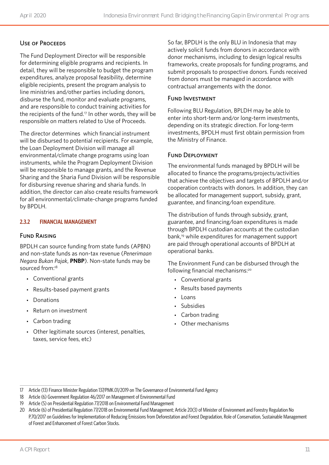#### USE OF PROCEEDS

The Fund Deployment Director will be responsible for determining eligible programs and recipients. In detail, they will be responsible to budget the program expenditures, analyze proposal feasibility, determine eligible recipients, present the program analysis to line ministries and/other parties including donors, disburse the fund, monitor and evaluate programs, and are responsible to conduct training activities for the recipients of the fund.<sup>17</sup> In other words, they will be responsible on matters related to Use of Proceeds.

The director determines which financial instrument will be disbursed to potential recipients. For example, the Loan Deployment Division will manage all environmental/climate change programs using loan instruments, while the Program Deployment Division will be responsible to manage grants, and the Revenue Sharing and the Sharia Fund Division will be responsible for disbursing revenue sharing and sharia funds. In addition, the director can also create results framework for all environmental/climate-change programs funded by BPDLH.

#### **2.3.2 FINANCIAL MANAGEMENT**

#### Fund Raising

BPDLH can source funding from state funds (APBN) and non-state funds as non-tax revenue (*Penerimaan Negara Bukan Pajak*, **PNBP**). Non-state funds may be sourced from:<sup>18</sup>

- Conventional grants
- Results-based payment grants
- Donations
- Return on investment
- Carbon trading
- Other legitimate sources (interest, penalties, taxes, service fees, etc)

So far, BPDLH is the only BLU in Indonesia that may actively solicit funds from donors in accordance with donor mechanisms, including to design logical results frameworks, create proposals for funding programs, and submit proposals to prospective donors. Funds received from donors must be managed in accordance with contractual arrangements with the donor. 

#### Fund Investment

Following BLU Regulation, BPLDH may be able to enter into short-term and/or long-term investments, depending on its strategic direction. For long-term investments, BPDLH must first obtain permission from the Ministry of Finance.

#### Fund Deployment

The environmental funds managed by BPDLH will be allocated to finance the programs/projects/activities that achieve the objectives and targets of BPDLH and/or cooperation contracts with donors. In addition, they can be allocated for management support, subsidy, grant, guarantee, and financing/loan expenditure.

The distribution of funds through subsidy, grant, guarantee, and financing/loan expenditures is made through BPDLH custodian accounts at the custodian bank,19 while expenditures for management support are paid through operational accounts of BPDLH at operational banks.

The Environment Fund can be disbursed through the following financial mechanisms:20

- Conventional grants
- Results based payments
- Loans
- Subsidies
- Carbon trading
- Other mechanisms

<sup>17</sup> Article (13) Finance Minister Regulation 137/PMK.01/2019 on The Governance of Environmental Fund Agency

<sup>18</sup> Article (6) Government Regulation 46/2017 on Management of Environmental Fund

<sup>19</sup> Article (5) on Presidential Regulation 77/2018 on Environmental Fund Management

<sup>20</sup> Article (6) of Presidential Regulation 77/2018 on Environmental Fund Management; Article 20(3) of Minister of Environment and Forestry Regulation No P.70/2017 on Guidelines for Implementation of Reducing Emissions from Deforestation and Forest Degradation, Role of Conservation, Sustainable Management of Forest and Enhancement of Forest Carbon Stocks.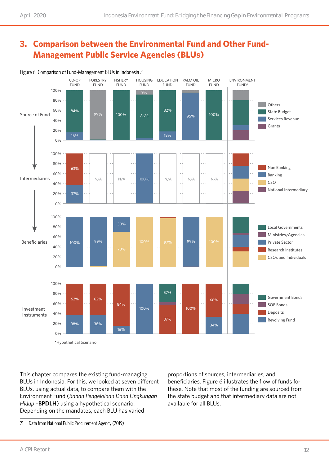# **3. Comparison between the Environmental Fund and Other Fund-Management Public Service Agencies (BLUs)**



Figure 6: Comparison of Fund-Management BLUs in Indonesia .21

This chapter compares the existing fund-managing BLUs in Indonesia. For this, we looked at seven different BLUs, using actual data, to compare them with the Environment Fund (*Badan Pengelolaan Dana Lingkungan Hidup* –**BPDLH**) using a hypothetical scenario. Depending on the mandates, each BLU has varied

proportions of sources, intermediaries, and beneficiaries. Figure 6 illustrates the flow of funds for these. Note that most of the funding are sourced from the state budget and that intermediary data are not available for all BLUs.

21 Data from National Public Procurement Agency (2019)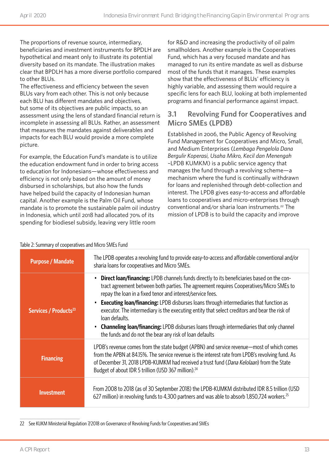The proportions of revenue source, intermediary, beneficiaries and investment instruments for BPDLH are hypothetical and meant only to illustrate its potential diversity based on its mandate. The illustration makes clear that BPDLH has a more diverse portfolio compared to other BLUs.

The effectiveness and efficiency between the seven BLUs vary from each other. This is not only because each BLU has different mandates and objectives, but some of its objectives are public impacts, so an assessment using the lens of standard financial return is incomplete in assessing all BLUs. Rather, an assessment that measures the mandates against deliverables and impacts for each BLU would provide a more complete picture.

For example, the Education Fund's mandate is to utilize the education endowment fund in order to bring access to education for Indonesians—whose effectiveness and efficiency is not only based on the amount of money disbursed in scholarships, but also how the funds have helped build the capacity of Indonesian human capital. Another example is the Palm Oil Fund, whose mandate is to promote the sustainable palm oil industry in Indonesia, which until 2018 had allocated 70% of its spending for biodiesel subsidy, leaving very little room

for R&D and increasing the productivity of oil palm smallholders. Another example is the Cooperatives Fund, which has a very focused mandate and has managed to run its entire mandate as well as disburse most of the funds that it manages. These examples show that the effectiveness of BLUs' efficiency is highly variable, and assessing them would require a specific lens for each BLU, looking at both implemented programs and financial performance against impact.

### **3.1 Revolving Fund for Cooperatives and Micro SMEs (LPDB)**

Established in 2006, the Public Agency of Revolving Fund Management for Cooperatives and Micro, Small, and Medium Enterprises (*Lembaga Pengelola Dana Bergulir Koperasi, Usaha Mikro, Kecil dan Menengah*  –LPDB KUMKM) is a public service agency that manages the fund through a revolving scheme—a mechanism where the fund is continually withdrawn for loans and replenished through debt-collection and interest. The LPDB gives easy-to-access and affordable loans to cooperatives and micro-enterprises through conventional and/or sharia loan instruments.<sup>22</sup> The mission of LPDB is to build the capacity and improve

| <b>Purpose / Mandate</b>          | The LPDB operates a revolving fund to provide easy-to-access and affordable conventional and/or<br>sharia loans for cooperatives and Micro SMEs.                                                                                                                                                                                                                                                                                                                                                                                                                                                                                                                                    |
|-----------------------------------|-------------------------------------------------------------------------------------------------------------------------------------------------------------------------------------------------------------------------------------------------------------------------------------------------------------------------------------------------------------------------------------------------------------------------------------------------------------------------------------------------------------------------------------------------------------------------------------------------------------------------------------------------------------------------------------|
| Services / Products <sup>23</sup> | <b>Direct loan/financing:</b> LPDB channels funds directly to its beneficiaries based on the con-<br>$\bullet$<br>tract agreement between both parties. The agreement requires Cooperatives/Micro SMEs to<br>repay the loan in a fixed tenor and interest/service fees.<br><b>Executing loan/financing:</b> LPDB disburses loans through intermediaries that function as<br>$\bullet$<br>executor. The intermediary is the executing entity that select creditors and bear the risk of<br>loan defaults.<br><b>Channeling loan/financing:</b> LPDB disburses loans through intermediaries that only channel<br>$\bullet$<br>the funds and do not the bear any risk of loan defaults |
| <b>Financing</b>                  | LPDB's revenue comes from the state budget (APBN) and service revenue—most of which comes<br>from the APBN at 84.15%. The service revenue is the interest rate from LPDB's revolving fund. As<br>of December 31, 2018 LPDB-KUMKM had received a trust fund (Dana Kelolaan) from the State<br>Budget of about IDR 5 trillion (USD 367 million). <sup>24</sup>                                                                                                                                                                                                                                                                                                                        |
| <b>Investment</b>                 | From 2008 to 2018 (as of 30 September 2018) the LPDB-KUMKM distributed IDR 8.5 trillion (USD)<br>627 million) in revolving funds to 4,300 partners and was able to absorb 1,850,724 workers. <sup>25</sup>                                                                                                                                                                                                                                                                                                                                                                                                                                                                          |

#### Table 2: Summary of cooperatives and Micro SMEs Fund

22 See KUKM Ministerial Regulation 7/2018 on Governance of Revolving Funds for Cooperatives and SMEs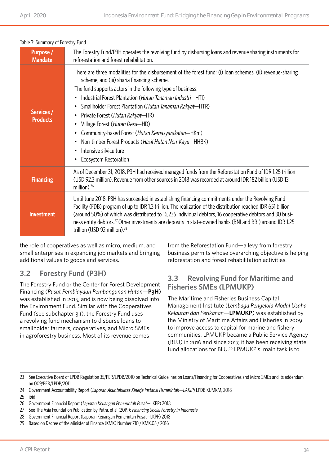| Table 5. Suffitured V of Forestry Fully |                                                                                                                                                                                                                                                                                                                                                                                                                                                                                                                                                                                                                                                                          |  |  |
|-----------------------------------------|--------------------------------------------------------------------------------------------------------------------------------------------------------------------------------------------------------------------------------------------------------------------------------------------------------------------------------------------------------------------------------------------------------------------------------------------------------------------------------------------------------------------------------------------------------------------------------------------------------------------------------------------------------------------------|--|--|
| <b>Purpose</b> /<br><b>Mandate</b>      | The Forestry Fund/P3H operates the revolving fund by disbursing loans and revenue sharing instruments for<br>reforestation and forest rehabilitation.                                                                                                                                                                                                                                                                                                                                                                                                                                                                                                                    |  |  |
| Services /<br><b>Products</b>           | There are three modalities for the disbursement of the forest fund: (i) loan schemes, (ii) revenue-sharing<br>scheme, and (iii) sharia financing scheme.<br>The fund supports actors in the following type of business:<br>Industrial Forest Plantation (Hutan Tanaman Industri-HTI)<br>$\bullet$<br>Smallholder Forest Plantation (Hutan Tanaman Rakyat-HTR)<br>$\bullet$<br>Private Forest (Hutan Rakyat-HR)<br>$\bullet$<br>Village Forest (Hutan Desa-HD)<br>٠<br>Community-based Forest (Hutan Kemasyarakatan-HKm)<br>$\bullet$<br>Non-timber Forest Products (Hasil Hutan Non-Kayu-HHBK)<br>٠<br>Intensive silviculture<br>٠<br>Ecosystem Restoration<br>$\bullet$ |  |  |
| <b>Financing</b>                        | As of December 31, 2018, P3H had received managed funds from the Reforestation Fund of IDR 1.25 trillion<br>(USD 92.3 million). Revenue from other sources in 2018 was recorded at around IDR 182 billion (USD 13<br>million). <sup>26</sup>                                                                                                                                                                                                                                                                                                                                                                                                                             |  |  |
| <b>Investment</b>                       | Until June 2018, P3H has succeeded in establishing financing commitments under the Revolving Fund<br>Facility (FDB) program of up to IDR 1.3 trillion. The realization of the distribution reached IDR 651 billion<br>(around 50%) of which was distributed to 16,235 individual debtors, 16 cooperative debtors and 30 busi-<br>ness entity debtors. <sup>27</sup> Other investments are deposits in state-owned banks (BNI and BRI) around IDR 1.25<br>trillion (USD 92 million). <sup>28</sup>                                                                                                                                                                        |  |  |

#### Table 3: Summary of Forestry Fund

the role of cooperatives as well as micro, medium, and small enterprises in expanding job markets and bringing additional values to goods and services.

### **3.2 Forestry Fund (P3H)**

The Forestry Fund or the Center for Forest Development Financing (*Pusat Pembiayaan Pembangunan Hutan*—**P3H**) was established in 2015, and is now being dissolved into the Environment Fund. Similar with the Cooperatives Fund (see subchapter 3.1), the Forestry Fund uses a revolving fund mechanism to disburse loans to smallholder farmers, cooperatives, and Micro SMEs in agroforestry business. Most of its revenue comes

from the Reforestation Fund—a levy from forestry business permits whose overarching objective is helping reforestation and forest rehabilitation activities.

### **3.3 Revolving Fund for Maritime and Fisheries SMEs (LPMUKP)**

The Maritime and Fisheries Business Capital Management Institute (*Lembaga Pengelola Modal Usaha Kelautan dan Perikanan*—**LPMUKP**) was established by the Ministry of Maritime Affairs and Fisheries in 2009 to improve access to capital for marine and fishery communities. LPMUKP became a Public Service Agency (BLU) in 2016 and since 2017, it has been receiving state fund allocations for BLU.29 LPMUKP's main task is to

27 See The Asia Foundation Publication by Putra, et al (2019): Financing Social Forestry in Indonesia

<sup>23</sup> See Executive Board of LPDB Regulation 35/PER/LPDB/2010 on Technical Guidelines on Loans/Financing for Cooperatives and Micro SMEs and its addendum on 009/PER/LPDB/2011

<sup>24</sup> Government Accountability Report (Laporan Akuntabilitas Kinerja Instansi Pemerintah—LAKIP) LPDB KUMKM, 2018

<sup>25</sup> ibid

<sup>26</sup> Government Financial Report (Laporan Keuangan Pemerintah Pusat—LKPP) 2018

<sup>28</sup> Government Financial Report (Laporan Keuangan Pemerintah Pusat—LKPP) 2018

<sup>29</sup> Based on Decree of the Minister of Finance (KMK) Number 710 / KMK.05 / 2016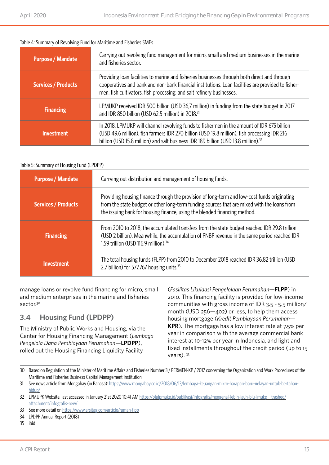#### Table 4: Summary of Revolving Fund for Maritime and Fisheries SMEs

| <b>Purpose / Mandate</b>   | Carrying out revolving fund management for micro, small and medium businesses in the marine<br>and fisheries sector.                                                                                                                                                                         |
|----------------------------|----------------------------------------------------------------------------------------------------------------------------------------------------------------------------------------------------------------------------------------------------------------------------------------------|
| <b>Services / Products</b> | Providing loan facilities to marine and fisheries businesses through both direct and through<br>cooperatives and bank and non-bank financial institutions. Loan facilities are provided to fisher-<br>men, fish cultivators, fish processing, and salt refinery businesses.                  |
| <b>Financing</b>           | LPMUKP received IDR 500 billion (USD 36,7 million) in funding from the state budget in 2017<br>and IDR 850 billion (USD 62,5 million) in 2018. <sup>31</sup>                                                                                                                                 |
| <b>Investment</b>          | In 2018, LPMUKP will channel revolving funds to fishermen in the amount of IDR 675 billion<br>(USD 49.6 million), fish farmers IDR 270 billion (USD 19.8 million), fish processing IDR 216<br>billion (USD 15.8 million) and salt business IDR 189 billion (USD 13.8 million). <sup>32</sup> |

#### Table 5: Summary of Housing Fund (LPDPP)

| <b>Purpose / Mandate</b>   | Carrying out distribution and management of housing funds.                                                                                                                                                                                                              |  |
|----------------------------|-------------------------------------------------------------------------------------------------------------------------------------------------------------------------------------------------------------------------------------------------------------------------|--|
| <b>Services / Products</b> | Providing housing finance through the provision of long-term and low-cost funds originating<br>from the state budget or other long-term funding sources that are mixed with the loans from<br>the issuing bank for housing finance, using the blended financing method. |  |
| <b>Financing</b>           | From 2010 to 2018, the accumulated transfers from the state budget reached IDR 29.8 trillion<br>(USD 2 billion). Meanwhile, the accumulation of PNBP revenue in the same period reached IDR<br>1.59 trillion (USD 116.9 million). <sup>34</sup>                         |  |
| <b>Investment</b>          | The total housing funds (FLPP) from 2010 to December 2018 reached IDR 36.82 trillion (USD<br>2.7 billion) for 577,767 housing units. <sup>35</sup>                                                                                                                      |  |

manage loans or revolve fund financing for micro, small and medium enterprises in the marine and fisheries sector.<sup>30</sup>

### **3.4 Housing Fund (LPDPP)**

The Ministry of Public Works and Housing, via the Center for Housing Financing Management (*Lembaga Pengelola Dana Pembiayaan Perumahan*—**LPDPP**), rolled out the Housing Financing Liquidity Facility

(*Fasilitas Likuidasi Pengelolaan Perumahan*—**FLPP**) in 2010. This financing facility is provided for low-income communities with gross income of IDR 3.5 - 5.5 million/ month (USD 256—402) or less, to help them access housing mortgage (*Kredit Pembiayaan Perumahan*— **KPR**). The mortgage has a low interest rate at 7.5% per year in comparison with the average commercial bank interest at 10-12% per year in Indonesia, and light and fixed installments throughout the credit period (up to 15 years). 33

<sup>30</sup> Based on Regulation of the Minister of Maritime Affairs and Fisheries Number 3 / PERMEN-KP / 2017 concerning the Organization and Work Procedures of the Maritime and Fisheries Business Capital Management Institution

<sup>31</sup> See news article from Mongabay (in Bahasa): [https://www.mongabay.co.id/2018/06/13/lembaga-keuangan-mikro-harapan-baru-nelayan-untuk-bertahan](https://www.mongabay.co.id/2018/06/13/lembaga-keuangan-mikro-harapan-baru-nelayan-untuk-bertahan-hidup/)[hidup/](https://www.mongabay.co.id/2018/06/13/lembaga-keuangan-mikro-harapan-baru-nelayan-untuk-bertahan-hidup/)

<sup>32</sup> LPMUPK Website, last accessed in January 21st 2020 10:41 AM https://blulpmukp.id/publikasi/infografis/mengenal-lebih-jauh-blu-lmukp trashed/ [attachment/infografis-new/](https://blulpmukp.id/publikasi/infografis/mengenal-lebih-jauh-blu-lmukp__trashed/attachment/infografis-new/)

<sup>33</sup> See more detail on <https://www.arsitag.com/article/rumah-flpp>

<sup>34</sup> LPDPP Annual Report (2018)

<sup>35</sup> ibid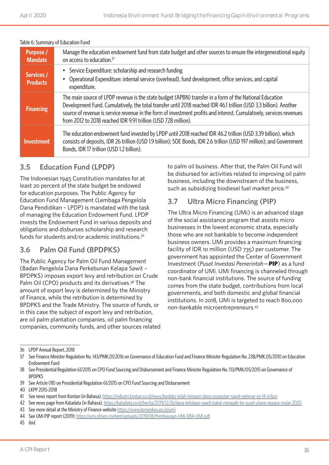| iddic of Julianus VI Education Fund |                                                                                                                                                                                                                                                                                                                                                                                                                         |  |
|-------------------------------------|-------------------------------------------------------------------------------------------------------------------------------------------------------------------------------------------------------------------------------------------------------------------------------------------------------------------------------------------------------------------------------------------------------------------------|--|
| <b>Purpose</b> /<br><b>Mandate</b>  | Manage the education endowment fund from state budget and other sources to ensure the intergenerational equity<br>on access to education. <sup>37</sup>                                                                                                                                                                                                                                                                 |  |
| Services /<br><b>Products</b>       | Service Expenditure: scholarship and research funding<br>٠<br>Operational Expenditure: internal service (overhead), fund development, office services, and capital<br>expenditure.                                                                                                                                                                                                                                      |  |
| <b>Financing</b>                    | The main source of LPDP revenue is the state budget (APBN) transfer in a form of the National Education<br>Development Fund. Cumulatively, the total transfer until 2018 reached IDR 46.1 trillion (USD 3.3 billion). Another<br>source of revenue is service revenue in the form of investment profits and interest. Cumulatively, services revenues<br>from 2012 to 2018 reached IDR 9.91 trillion (USD 728 million). |  |
| <b>Investment</b>                   | The education endowment fund invested by LPDP until 2018 reached IDR 46.2 trillion (USD 3.39 billion), which<br>consists of deposits, IDR 26 trillion (USD 1.9 billion); SOE Bonds, IDR 2.6 trillion (USD 197 million); and Government<br>Bonds, IDR 17 trillion (USD 1.2 billion).                                                                                                                                     |  |

#### Table 6: Summary of Education Fund

### **3.5 Education Fund (LPDP)**

The Indonesian 1945 Constitution mandates for at least 20 percent of the state budget be endowed for education purposes. The Public Agency for Education Fund Management (Lembaga Pengelola Dana Pendidikan – LPDP) is mandated with the task of managing the Education Endowment Fund. LPDP invests the Endowment Fund in various deposits and obligations and disburses scholarship and research funds for students and/or academic institutions.36

### **3.6 Palm Oil Fund (BPDPKS)**

The Public Agency for Palm Oil Fund Management (Badan Pengelola Dana Perkebunan Kelapa Sawit – BPDPKS) imposes export levy and retribution on Crude Palm Oil (CPO) products and its derivatives.<sup>38</sup> The amount of export levy is determined by the Ministry of Finance, while the retribution is determined by BPDPKS and the Trade Ministry. The source of funds, or in this case the subject of export levy and retribution, are oil palm plantation companies, oil palm financing companies, community funds, and other sources related to palm oil business. After that, the Palm Oil Fund will be disbursed for activities related to improving oil palm business, including the downstream of the business, such as subsidizing biodiesel fuel market price.<sup>39</sup>

# **3.7 Ultra Micro Financing (PIP)**

The Ultra Micro Financing (UMi) is an advanced stage of the social assistance program that assists micro businesses in the lowest economic strata, especially those who are not bankable to become independent business owners. UMi provides a maximum financing facility of IDR 10 million (USD 735) per customer. The government has appointed the Center of Government Investment (*Pusat Investasi Pemerintah*—**PIP**) as a fund coordinator of UMi. UMi financing is channeled through non-bank financial institutions. The source of funding comes from the state budget, contributions from local governments, and both domestic and global financial institutions. In 2018, UMi is targeted to reach 800,000 non-bankable microentrepreneurs.43

<sup>36</sup> LPDP Annual Report, 2018

<sup>37</sup> See Finance Minister Regulation No. 143/PMK.01/2016 on Governance of Education Fund and Finance Minister Regulation No. 238/PMK.05/2010 on Education Endowment Fund

<sup>38</sup> See Presidential Regulation 61/2015 on CPO Fund Sourcing and Disbursement and Finance Minister Regulation No. 113/PMK/05/2015 on Governance of **BPDPKS** 

<sup>39</sup> See Article (18) on Presidential Regulation 61/2015 on CPO Fund Sourcing and Disbursement

<sup>40</sup> LKPP 2015-2018

<sup>41</sup> See news report from Kontan (in Bahasa), <https://industri.kontan.co.id/news/bpdpks-telah-himpun-dana-pungutan-sawit-sebesar-rp-14-triliun>

<sup>42</sup> See news page from Katadata (in Bahasa), <https://katadata.co.id/berita/2019/12/26/dana-kelolaan-sawit-bakal-mengalir-ke-surat-utang-negara-mulai-2020>

<sup>43</sup> See more detail at the Ministry of Finance website<https://www.kemenkeu.go.id/umi>

<sup>44</sup> See UMi PIP report (2019):<https://umi.id/wp-content/uploads/2019/08/Pembiayaan-UMi-EBA-UMi.pdf>

<sup>45</sup> ibid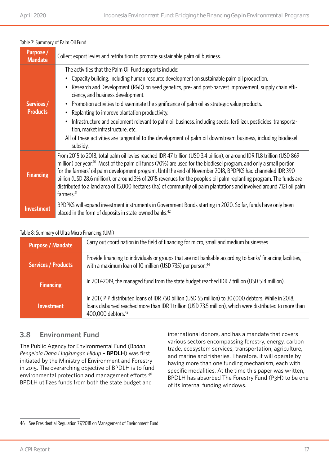| <b>Purpose</b> /<br><b>Mandate</b> | Collect export levies and retribution to promote sustainable palm oil business.                                                                                                                                                                                                                                                                                                                                                                                                                                                                                                                                                                                                                                                                      |
|------------------------------------|------------------------------------------------------------------------------------------------------------------------------------------------------------------------------------------------------------------------------------------------------------------------------------------------------------------------------------------------------------------------------------------------------------------------------------------------------------------------------------------------------------------------------------------------------------------------------------------------------------------------------------------------------------------------------------------------------------------------------------------------------|
| Services /<br><b>Products</b>      | The activities that the Palm Oil Fund supports include:<br>Capacity building, including human resource development on sustainable palm oil production.<br>Research and Development (R&D) on seed genetics, pre- and post-harvest improvement, supply chain effi-<br>ciency, and business development.<br>Promotion activities to disseminate the significance of palm oil as strategic value products.<br>Replanting to improve plantation productivity.<br>٠<br>Infrastructure and equipment relevant to palm oil business, including seeds, fertilizer, pesticides, transporta-<br>tion, market infrastructure, etc.<br>All of these activities are tangential to the development of palm oil downstream business, including biodiesel<br>subsidy. |
| <b>Financing</b>                   | From 2015 to 2018, total palm oil levies reached IDR 47 trillion (USD 3.4 billion), or around IDR 11.8 trillion (USD 869<br>million) per year. <sup>40</sup> Most of the palm oil funds (70%) are used for the biodiesel program, and only a small portion<br>for the farmers' oil palm development program. Until the end of November 2018, BPDPKS had channeled IDR 390<br>billion (USD 28.6 million), or around 3% of 2018 revenues for the people's oil palm replanting program. The funds are<br>distributed to a land area of 15,000 hectares (ha) of community oil palm plantations and involved around 7,121 oil palm<br>farmers. <sup>41</sup>                                                                                              |
| <b>Investment</b>                  | BPDPKS will expand investment instruments in Government Bonds starting in 2020. So far, funds have only been<br>placed in the form of deposits in state-owned banks. <sup>42</sup>                                                                                                                                                                                                                                                                                                                                                                                                                                                                                                                                                                   |

#### Table 7: Summary of Palm Oil Fund

#### Table 8: Summary of Ultra Micro Financing (UMi)

| <b>Purpose / Mandate</b>   | Carry out coordination in the field of financing for micro, small and medium businesses                                                                                                                                                             |
|----------------------------|-----------------------------------------------------------------------------------------------------------------------------------------------------------------------------------------------------------------------------------------------------|
| <b>Services / Products</b> | Provide financing to individuals or groups that are not bankable according to banks' financing facilities,<br>with a maximum loan of 10 million (USD 735) per person. <sup>44</sup>                                                                 |
| <b>Financing</b>           | In 2017-2019, the managed fund from the state budget reached IDR 7 trillion (USD 514 million).                                                                                                                                                      |
| <b>Investment</b>          | In 2017, PIP distributed loans of IDR 750 billion (USD 55 million) to 307,000 debtors. While in 2018,<br>loans disbursed reached more than IDR 1 trillion (USD 73.5 million), which were distributed to more than<br>400,000 debtors. <sup>45</sup> |

### **3.8 Environment Fund**

The Public Agency for Environmental Fund (B*adan Pengelola Dana LIngkungan Hidup* – **BPDLH**) was first initiated by the Ministry of Environment and Forestry in 2015. The overarching objective of BPDLH is to fund environmental protection and management efforts.46 BPDLH utilizes funds from both the state budget and

international donors, and has a mandate that covers various sectors encompassing forestry, energy, carbon trade, ecosystem services, transportation, agriculture, and marine and fisheries. Therefore, it will operate by having more than one funding mechanism, each with specific modalities. At the time this paper was written, BPDLH has absorbed The Forestry Fund (P3H) to be one of its internal funding windows.

<sup>46</sup> See Presidential Regulation 77/2018 on Management of Environment Fund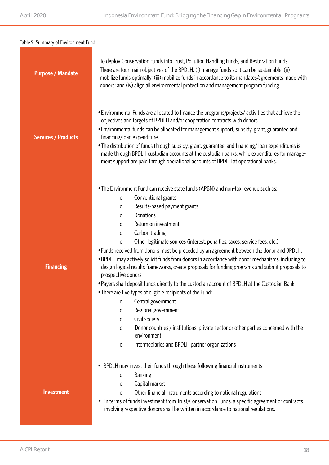| Table 9: Summary of Environment Fund |                                                                                                                                                                                                                                                                                                                                                                                                                                                                                                                                                                                                                                                                                                                                                                                                                                                                                                                                                                                                                                                        |  |
|--------------------------------------|--------------------------------------------------------------------------------------------------------------------------------------------------------------------------------------------------------------------------------------------------------------------------------------------------------------------------------------------------------------------------------------------------------------------------------------------------------------------------------------------------------------------------------------------------------------------------------------------------------------------------------------------------------------------------------------------------------------------------------------------------------------------------------------------------------------------------------------------------------------------------------------------------------------------------------------------------------------------------------------------------------------------------------------------------------|--|
| <b>Purpose / Mandate</b>             | To deploy Conservation Funds into Trust, Pollution Handling Funds, and Restoration Funds.<br>There are four main objectives of the BPDLH: (i) manage funds so it can be sustainable; (ii)<br>mobilize funds optimally; (iii) mobilize funds in accordance to its mandates/agreements made with<br>donors; and (iv) align all environmental protection and management program funding                                                                                                                                                                                                                                                                                                                                                                                                                                                                                                                                                                                                                                                                   |  |
| <b>Services / Products</b>           | . Environmental Funds are allocated to finance the programs/projects/ activities that achieve the<br>objectives and targets of BPDLH and/or cooperation contracts with donors.<br>• Environmental funds can be allocated for management support, subsidy, grant, guarantee and<br>financing/loan expenditure.<br>• The distribution of funds through subsidy, grant, guarantee, and financing/loan expenditures is<br>made through BPDLH custodian accounts at the custodian banks, while expenditures for manage-<br>ment support are paid through operational accounts of BPDLH at operational banks.                                                                                                                                                                                                                                                                                                                                                                                                                                                |  |
| <b>Financing</b>                     | • The Environment Fund can receive state funds (APBN) and non-tax revenue such as:<br>Conventional grants<br>0<br>Results-based payment grants<br>0<br>Donations<br>0<br>Return on investment<br>0<br>Carbon trading<br>0<br>Other legitimate sources (interest, penalties, taxes, service fees, etc.)<br>0<br>• Funds received from donors must be preceded by an agreement between the donor and BPDLH.<br>. BPDLH may actively solicit funds from donors in accordance with donor mechanisms, including to<br>design logical results frameworks, create proposals for funding programs and submit proposals to<br>prospective donors.<br>• Payers shall deposit funds directly to the custodian account of BPDLH at the Custodian Bank.<br>• There are five types of eligible recipients of the Fund:<br>Central government<br>0<br>Regional government<br>0<br>Civil society<br>0<br>Donor countries / institutions, private sector or other parties concerned with the<br>0<br>environment<br>Intermediaries and BPDLH partner organizations<br>0 |  |
| <b>Investment</b>                    | BPDLH may invest their funds through these following financial instruments:<br>$\bullet$<br><b>Banking</b><br>0<br>Capital market<br>0<br>Other financial instruments according to national regulations<br>$\mathbf 0$<br>In terms of funds investment from Trust/Conservation Funds, a specific agreement or contracts<br>$\bullet$<br>involving respective donors shall be written in accordance to national regulations.                                                                                                                                                                                                                                                                                                                                                                                                                                                                                                                                                                                                                            |  |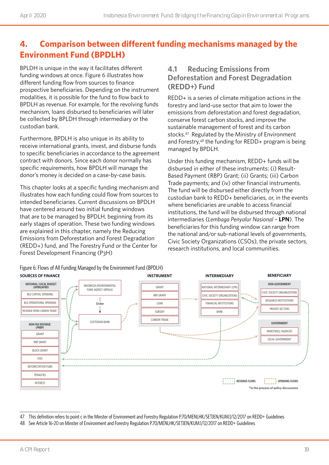# **4. Comparison between different funding mechanisms managed by the Environment Fund (BPDLH)**

BPLDH is unique in the way it facilitates different funding windows at once. Figure 6 illustrates how different funding flow from sources to finance prospective beneficiaries. Depending on the instrument modalities, it is possible for the fund to flow back to BPDLH as revenue. For example, for the revolving funds mechanism, loans disbursed to beneficiaries will later be collected by BPLDH through intermediary or the custodian bank.

Furthermore, BPDLH is also unique in its ability to receive international grants, invest, and disburse funds to specific beneficiaries in accordance to the agreement contract with donors. Since each donor normally has specific requirements, how BPDLH will manage the donor's money is decided on a case-by-case basis.

This chapter looks at a specific funding mechanism and illustrates how each funding could flow from sources to intended beneficiaries. Current discussions on BPDLH have centered around two initial funding windows that are to be managed by BPDLH, beginning from its early stages of operation. These two funding windows are explained in this chapter, namely the Reducing Emissions from Deforestation and Forest Degradation (REDD+) fund, and The Forestry Fund or the Center for Forest Development Financing (P3H)

### **4.1 Reducing Emissions from Deforestation and Forest Degradation (REDD+) Fund**

REDD+ is a series of climate mitigation actions in the forestry and land-use sector that aim to lower the emissions from deforestation and forest degradation, conserve forest carbon stocks, and improve the sustainable management of forest and its carbon stocks.<sup>47</sup> Regulated by the Ministry of Environment and Forestry,48 the funding for REDD+ program is being managed by BPDLH.

Under this funding mechanism, REDD+ funds will be disbursed in either of these instruments: (i) Result-Based Payment (RBP) Grant; (ii) Grants; (iii) Carbon Trade payments; and (iv) other financial instruments. The fund will be disbursed either directly from the custodian bank to REDD+ beneficiaries, or, in the events where beneficiaries are unable to access financial institutions, the fund will be disbursed through national intermediaries (*Lembaga Penyalur Nasional* – **LPN**). The beneficiaries for this funding window can range from the national and/or sub-national levels of governments, Civic Society Organizations (CSOs), the private sectors, research institutions, and local communities.



Figure 6: Flows of All Funding Managed by the Environment Fund (BPDLH)

<sup>47</sup> This definition refers to point c in the Minster of Environment and Forestry Regulation P.70/MENLHK/SETJEN/KUM.1/12/2017 on REDD+ Guidelines

<sup>48</sup> See Article 16-20 on Minster of Environment and Forestry Regulation P.70/MENLHK/SETJEN/KUM.1/12/2017 on REDD+ Guidelines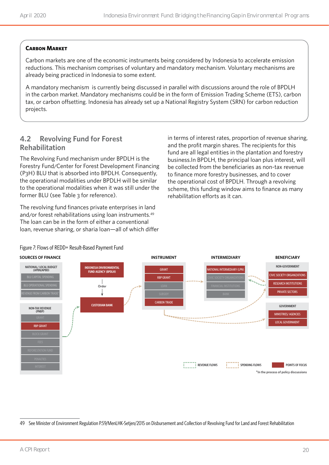#### **Carbon Market**

Carbon markets are one of the economic instruments being considered by Indonesia to accelerate emission reductions. This mechanism comprises of voluntary and mandatory mechanism. Voluntary mechanisms are already being practiced in Indonesia to some extent.

A mandatory mechanism is currently being discussed in parallel with discussions around the role of BPDLH in the carbon market. Mandatory mechanisms could be in the form of Emission Trading Scheme (ETS), carbon tax, or carbon offsetting. Indonesia has already set up a National Registry System (SRN) for carbon reduction projects.

## **4.2 Revolving Fund for Forest Rehabilitation**

The Revolving Fund mechanism under BPDLH is the Forestry Fund/Center for Forest Development Financing (P3H) BLU that is absorbed into BPDLH. Consequently, the operational modalities under BPDLH will be similar to the operational modalities when it was still under the former BLU (see Table 3 for reference).

The revolving fund finances private enterprises in land and/or forest rehabilitations using loan instruments.<sup>49</sup> The loan can be in the form of either a conventional loan, revenue sharing, or sharia loan—all of which differ in terms of interest rates, proportion of revenue sharing, and the profit margin shares. The recipients for this fund are all legal entities in the plantation and forestry business.In BPDLH, the principal loan plus interest, will be collected from the beneficiaries as non-tax revenue to finance more forestry businesses, and to cover the operational cost of BPDLH. Through a revolving scheme, this funding window aims to finance as many rehabilitation efforts as it can.



#### Figure 7: Flows of REDD+ Result-Based Payment Fund

49 See Minister of Environment Regulation P.59/MenLHK-Setjen/2015 on Disbursement and Collection of Revolving Fund for Land and Forest Rehabilitation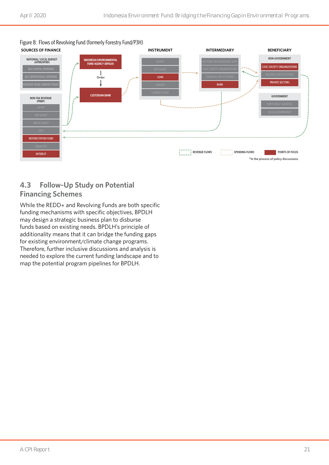Figure 8: Flows of Revolving Fund (formerly Forestry Fund/P3H)



# **4.3 Follow-Up Study on Potential Financing Schemes**

While the REDD+ and Revolving Funds are both specific funding mechanisms with specific objectives, BPDLH may design a strategic business plan to disburse funds based on existing needs. BPDLH's principle of additionality means that it can bridge the funding gaps for existing environment/climate change programs. Therefore, further inclusive discussions and analysis is needed to explore the current funding landscape and to map the potential program pipelines for BPDLH.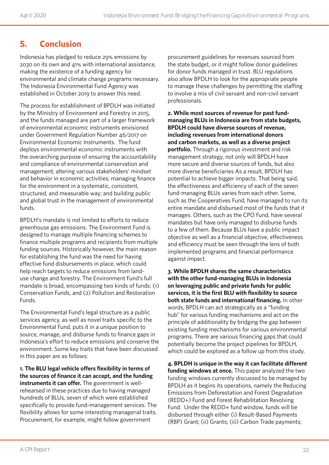# **5. Conclusion**

Indonesia has pledged to reduce 29% emissions by 2030 on its own and 41% with international assistance, making the existence of a funding agency for environmental and climate change programs necessary. The Indonesia Environmental Fund Agency was established in October 2019 to answer this need.

The process for establishment of BPDLH was initiated by the Ministry of Environment and Forestry in 2015, and the funds managed are part of a larger framework of environmental economic instruments envisioned under Government Regulation Number 46/2017 on Environmental Economic Instruments. The fund deploys environmental economic instruments with the overarching purpose of ensuring the accountability and compliance of environmental conservation and management; altering various stakeholders' mindset and behavior in economic activities; managing finance for the environment in a systematic, consistent, structured, and measurable way; and building public and global trust in the management of environmental funds.

BPDLH's mandate is not limited to efforts to reduce greenhouse gas emissions. The Environment Fund is designed to manage multiple financing schemes to finance multiple programs and recipients from multiple funding sources. Historically however, the main reason for establishing the fund was the need for having effective fund disbursements in place, which could help reach targets to reduce emissions from landuse change and forestry. The Environment Fund's full mandate is broad, encompassing two kinds of funds: (1) Conservation Funds, and (2) Pollution and Restoration Funds.

The Environmental Fund's legal structure as a public services agency, as well as novel traits specific to the Environmental Fund, puts it in a unique position to source, manage, and disburse funds to finance gaps in Indonesia's effort to reduce emissions and conserve the environment. Some key traits that have been discussed in this paper are as follows:

**1. The BLU legal vehicle offers flexibility in terms of the sources of finance it can accept, and the funding instruments it can offer.** The government is wellrehearsed in these practices due to having managed hundreds of BLUs, seven of which were established specifically to provide fund-management services. The flexibility allows for some interesting managerial traits. Procurement, for example, might follow government

procurement guidelines for revenues sourced from the state budget, or it might follow donor guidelines for donor funds managed in trust. BLU regulations also allow BPDLH to look for the appropriate people to manage these challenges by permitting the staffing to involve a mix of civil servant and non-civil servant professionals.

**2. While most sources of revenue for past fundmanaging BLUs in Indonesia are from state budgets, BPDLH could have diverse sources of revenue, including revenues from international donors and carbon markets, as well as a diverse project portfolio.** Through a rigorous investment and risk management strategy, not only will BPDLH have more secure and diverse sources of funds, but also more diverse beneficiaries As a result, BPDLH has potential to achieve bigger impacts. That being said, the effectiveness and efficiency of each of the seven fund-managing BLUs varies from each other. Some, such as the Cooperatives Fund, have managed to run its entire mandate and disbursed most of the funds that it manages. Others, such as the CPO Fund, have several mandates but have only managed to disburse funds to a few of them. Because BLUs have a public impact objective as well as a financial objective, effectiveness and efficiency must be seen through the lens of both implemented programs and financial performance against impact.

**3. While BPDLH shares the same characteristics with the other fund-managing BLUs in Indonesia on leveraging public and private funds for public services, it is the first BLU with flexibility to source both state funds and international financing.** In other words, BPDLH can act strategically as a "funding hub" for various funding mechanisms and act on the principle of additionality by bridging the gap between existing funding mechanisms for various environmental programs. There are various financing gaps that could potentially become the project pipelines for BPDLH, which could be explored as a follow up from this study.

**4. BPLDH is unique in the way it can facilitate different funding windows at once.** This paper analyzed the two funding windows currently discussed to be managed by BPDLH as it begins its operations, namely the Reducing Emissions from Deforestation and Forest Degradation (REDD+) Fund and Forest Rehabilitation Revolving Fund. Under the REDD+ fund window, funds will be disbursed through either (i) Result-Based Payments (RBP) Grant; (ii) Grants; (iii) Carbon Trade payments;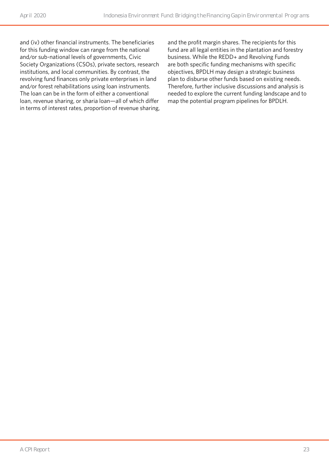and (iv) other financial instruments. The beneficiaries for this funding window can range from the national and/or sub-national levels of governments, Civic Society Organizations (CSOs), private sectors, research institutions, and local communities. By contrast, the revolving fund finances only private enterprises in land and/or forest rehabilitations using loan instruments. The loan can be in the form of either a conventional loan, revenue sharing, or sharia loan—all of which differ in terms of interest rates, proportion of revenue sharing, and the profit margin shares. The recipients for this fund are all legal entities in the plantation and forestry business. While the REDD+ and Revolving Funds are both specific funding mechanisms with specific objectives, BPDLH may design a strategic business plan to disburse other funds based on existing needs. Therefore, further inclusive discussions and analysis is needed to explore the current funding landscape and to map the potential program pipelines for BPDLH.